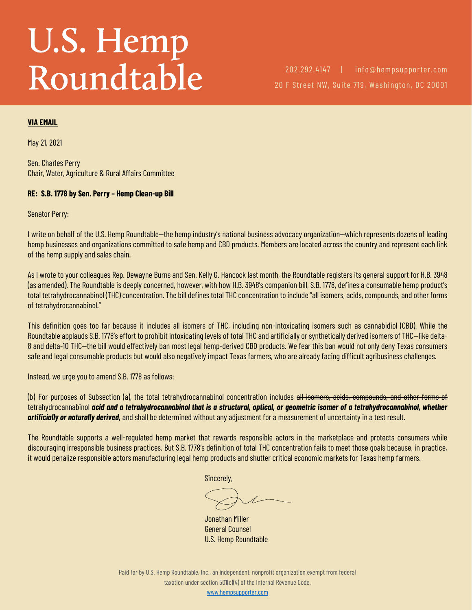# U.S. Hemp Roundtable

202.292.4147 | info@hempsupporter.com 20 F Street NW, Suite 719, Washington, DC 20001

#### **VIA EMAIL**

May 21, 2021

Sen. Charles Perry Chair, Water, Agriculture & Rural Affairs Committee

#### **RE: S.B. 1778 by Sen. Perry – Hemp Clean-up Bill**

Senator Perry:

I write on behalf of the U.S. Hemp Roundtable—the hemp industry's national business advocacy organization—which represents dozens of leading hemp businesses and organizations committed to safe hemp and CBD products. Members are located across the country and represent each link of the hemp supply and sales chain.

As I wrote to your colleagues Rep. Dewayne Burns and Sen. Kelly G. Hancock last month, the Roundtable registers its general support for H.B. 3948 (as amended). The Roundtable is deeply concerned, however, with how H.B. 3948's companion bill, S.B. 1778, defines a consumable hemp product's total tetrahydrocannabinol (THC) concentration. The bill defines total THC concentration to include "all isomers, acids, compounds, and other forms of tetrahydrocannabinol."

This definition goes too far because it includes all isomers of THC, including non-intoxicating isomers such as cannabidiol (CBD). While the Roundtable applauds S.B. 1778's effort to prohibit intoxicating levels of total THC and artificially or synthetically derived isomers of THC—like delta-8 and delta-10 THC—the bill would effectively ban most legal hemp-derived CBD products. We fear this ban would not only deny Texas consumers safe and legal consumable products but would also negatively impact Texas farmers, who are already facing difficult agribusiness challenges.

Instead, we urge you to amend S.B. 1778 as follows:

(b) For purposes of Subsection (a), the total tetrahydrocannabinol concentration includes all isomers, acids, compounds, and other forms of tetrahydrocannabinol *acid and a tetrahydrocannabinol that is a structural, optical, or geometric isomer of a tetrahydrocannabinol, whether artificially or naturally derived,* and shall be determined without any adjustment for a measurement of uncertainty in a test result.

The Roundtable supports a well-regulated hemp market that rewards responsible actors in the marketplace and protects consumers while discouraging irresponsible business practices. But S.B. 1778's definition of total THC concentration fails to meet those goals because, in practice, it would penalize responsible actors manufacturing legal hemp products and shutter critical economic markets for Texas hemp farmers.

Sincerely,

Jonathan Miller General Counsel U.S. Hemp Roundtable

Paid for by U.S. Hemp Roundtable, Inc., an independent, nonprofit organization exempt from federal taxation under section 501(c)(4) of the Internal Revenue Code.

[www.hempsupporter.com](file:///C:/Users/Dave/Downloads/www.hempsupporter.com)